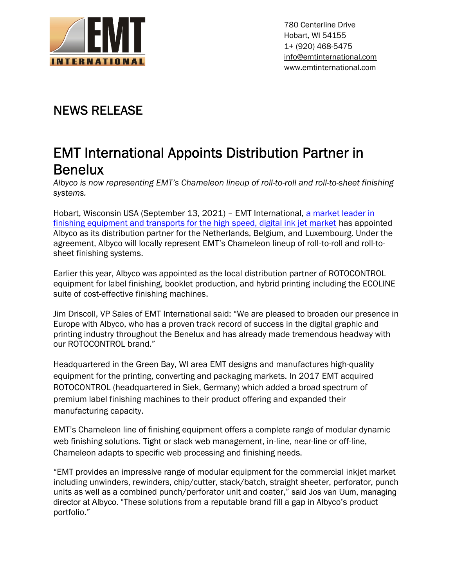

780 Centerline Drive Hobart, WI 54155 1+ (920) 468-5475 info@emtinternational.com www.emtinternational.com

## **NEWS RELEASE**

# **EMT International Appoints Distribution Partner in Benelux**

*Albyco is now representing EMT's Chameleon lineup of roll-to-roll and roll-to-sheet finishing systems.*

Hobart, Wisconsin USA (September 13, 2021) – EMT International, a market leader in finishing equipment and transports for the high speed, digital ink jet market has appointed Albyco as its distribution partner for the Netherlands, Belgium, and Luxembourg. Under the agreement, Albyco will locally represent EMT's Chameleon lineup of roll-to-roll and roll-to sheet finishing systems.

Earlier this year, Albyco was appointed as the local distribution partner of ROTOCONTROL equipment for label finishing, booklet production, and hybrid printing including the ECOLINE suite of cost-effective finishing machines.

Jim Driscoll, VP Sales of EMT International said: "We are pleased to broaden our presence in Europe with Albyco, who has a proven track record of success in the digital graphic and printing industry throughout the Benelux and has already made tremendous headway with our ROTOCONTROL brand."

Headquartered in the Green Bay, WI area EMT designs and manufactures high-quality equipment for the printing, converting and packaging markets. In 2017 EMT acquired ROTOCONTROL (headquartered in Siek, Germany) which added a broad spectrum of premium label finishing machines to their product offering and expanded their manufacturing capacity.

EMT's Chameleon line of finishing equipment offers a complete range of modular dynamic web finishing solutions. Tight or slack web management, in-line, near-line or off-line, Chameleon adapts to specific web processing and finishing needs.

"EMT provides an impressive range of modular equipment for the commercial inkjet market including unwinders, rewinders, chip/cutter, stack/batch, straight sheeter, perforator, punch units as well as a combined punch/perforator unit and coater," said Jos van Uum, managing director at Albyco. "These solutions from a reputable brand fill a gap in Albyco's product portfolio."